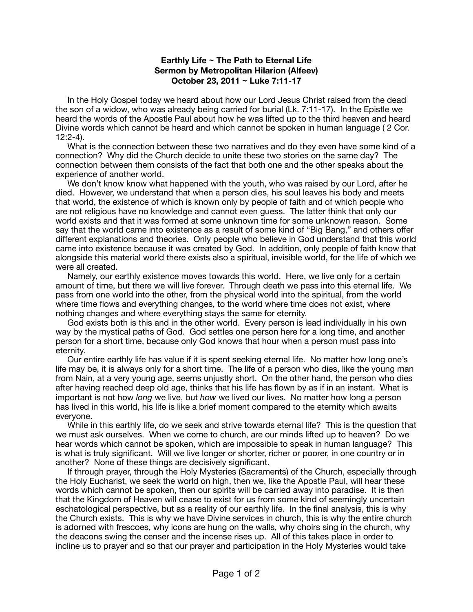## **Earthly Life ~ The Path to Eternal Life Sermon by Metropolitan Hilarion (Alfeev) October 23, 2011 ~ Luke 7:11-17**

 In the Holy Gospel today we heard about how our Lord Jesus Christ raised from the dead the son of a widow, who was already being carried for burial (Lk. 7:11-17). In the Epistle we heard the words of the Apostle Paul about how he was lifted up to the third heaven and heard Divine words which cannot be heard and which cannot be spoken in human language ( 2 Cor. 12:2-4).

 What is the connection between these two narratives and do they even have some kind of a connection? Why did the Church decide to unite these two stories on the same day? The connection between them consists of the fact that both one and the other speaks about the experience of another world.

 We don't know know what happened with the youth, who was raised by our Lord, after he died. However, we understand that when a person dies, his soul leaves his body and meets that world, the existence of which is known only by people of faith and of which people who are not religious have no knowledge and cannot even guess. The latter think that only our world exists and that it was formed at some unknown time for some unknown reason. Some say that the world came into existence as a result of some kind of "Big Bang," and others offer different explanations and theories. Only people who believe in God understand that this world came into existence because it was created by God. In addition, only people of faith know that alongside this material world there exists also a spiritual, invisible world, for the life of which we were all created.

 Namely, our earthly existence moves towards this world. Here, we live only for a certain amount of time, but there we will live forever. Through death we pass into this eternal life. We pass from one world into the other, from the physical world into the spiritual, from the world where time flows and everything changes, to the world where time does not exist, where nothing changes and where everything stays the same for eternity.

 God exists both is this and in the other world. Every person is lead individually in his own way by the mystical paths of God. God settles one person here for a long time, and another person for a short time, because only God knows that hour when a person must pass into eternity.

 Our entire earthly life has value if it is spent seeking eternal life. No matter how long one's life may be, it is always only for a short time. The life of a person who dies, like the young man from Nain, at a very young age, seems unjustly short. On the other hand, the person who dies after having reached deep old age, thinks that his life has flown by as if in an instant. What is important is not how *long* we live, but *how* we lived our lives. No matter how long a person has lived in this world, his life is like a brief moment compared to the eternity which awaits everyone.

 While in this earthly life, do we seek and strive towards eternal life? This is the question that we must ask ourselves. When we come to church, are our minds lifted up to heaven? Do we hear words which cannot be spoken, which are impossible to speak in human language? This is what is truly significant. Will we live longer or shorter, richer or poorer, in one country or in another? None of these things are decisively significant.

 If through prayer, through the Holy Mysteries (Sacraments) of the Church, especially through the Holy Eucharist, we seek the world on high, then we, like the Apostle Paul, will hear these words which cannot be spoken, then our spirits will be carried away into paradise. It is then that the Kingdom of Heaven will cease to exist for us from some kind of seemingly uncertain eschatological perspective, but as a reality of our earthly life. In the final analysis, this is why the Church exists. This is why we have Divine services in church, this is why the entire church is adorned with frescoes, why icons are hung on the walls, why choirs sing in the church, why the deacons swing the censer and the incense rises up. All of this takes place in order to incline us to prayer and so that our prayer and participation in the Holy Mysteries would take